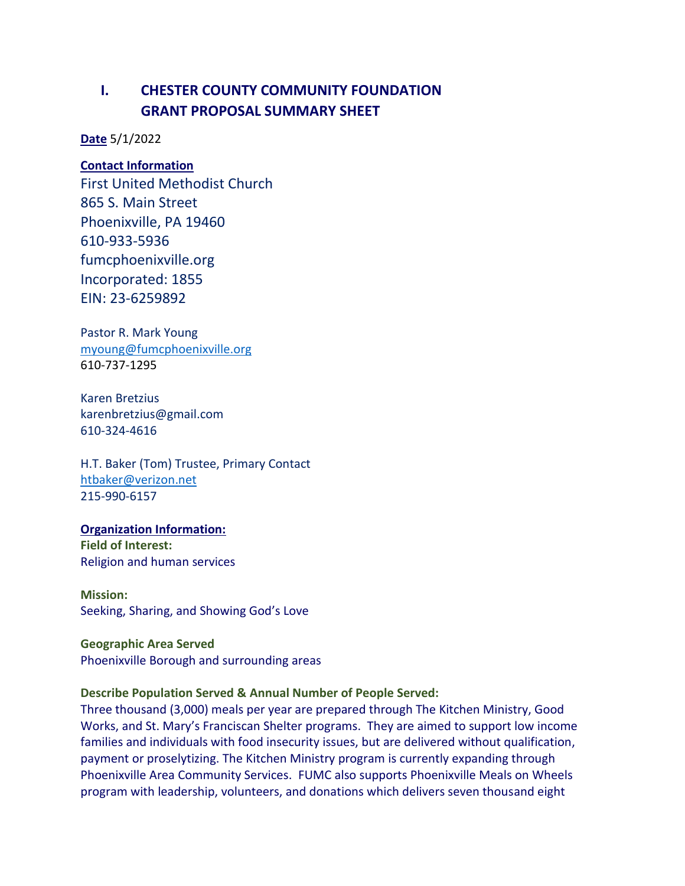# **I. CHESTER COUNTY COMMUNITY FOUNDATION GRANT PROPOSAL SUMMARY SHEET**

**Date** 5/1/2022

# **Contact Information**

First United Methodist Church 865 S. Main Street Phoenixville, PA 19460 610-933-5936 fumcphoenixville.org Incorporated: 1855 EIN: 23-6259892

Pastor R. Mark Young [myoung@fumcphoenixville.org](mailto:myoung@fumcphoenixville.org) 610-737-1295

Karen Bretzius karenbretzius@gmail.com 610-324-4616

H.T. Baker (Tom) Trustee, Primary Contact [htbaker@verizon.net](mailto:htbaker@verizon.net) 215-990-6157

#### **Organization Information:**

**Field of Interest:** Religion and human services

**Mission:** Seeking, Sharing, and Showing God's Love

**Geographic Area Served** Phoenixville Borough and surrounding areas

### **Describe Population Served & Annual Number of People Served:**

Three thousand (3,000) meals per year are prepared through The Kitchen Ministry, Good Works, and St. Mary's Franciscan Shelter programs. They are aimed to support low income families and individuals with food insecurity issues, but are delivered without qualification, payment or proselytizing. The Kitchen Ministry program is currently expanding through Phoenixville Area Community Services. FUMC also supports Phoenixville Meals on Wheels program with leadership, volunteers, and donations which delivers seven thousand eight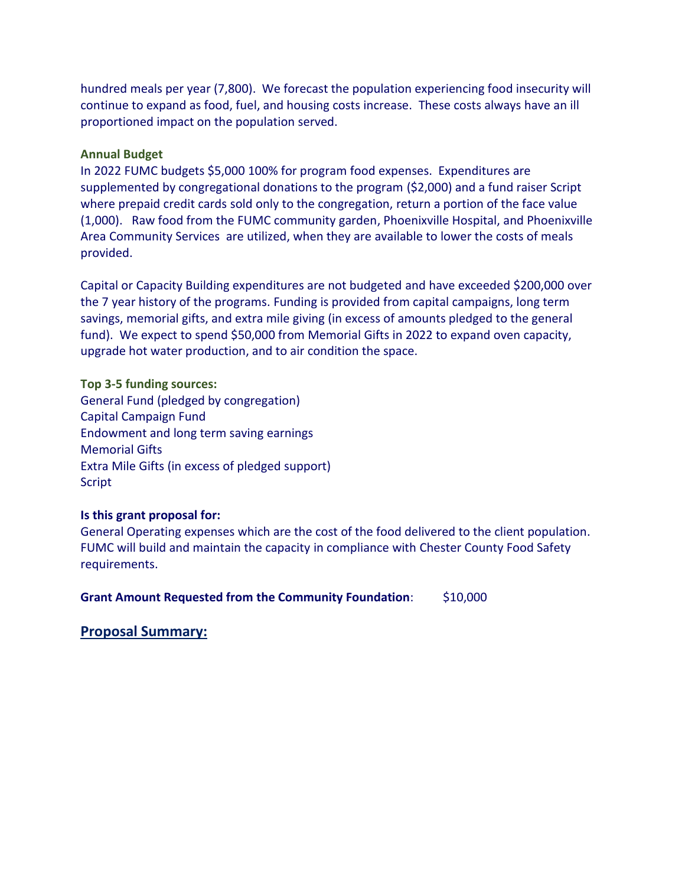hundred meals per year (7,800). We forecast the population experiencing food insecurity will continue to expand as food, fuel, and housing costs increase. These costs always have an ill proportioned impact on the population served.

### **Annual Budget**

In 2022 FUMC budgets \$5,000 100% for program food expenses. Expenditures are supplemented by congregational donations to the program (\$2,000) and a fund raiser Script where prepaid credit cards sold only to the congregation, return a portion of the face value (1,000). Raw food from the FUMC community garden, Phoenixville Hospital, and Phoenixville Area Community Services are utilized, when they are available to lower the costs of meals provided.

Capital or Capacity Building expenditures are not budgeted and have exceeded \$200,000 over the 7 year history of the programs. Funding is provided from capital campaigns, long term savings, memorial gifts, and extra mile giving (in excess of amounts pledged to the general fund). We expect to spend \$50,000 from Memorial Gifts in 2022 to expand oven capacity, upgrade hot water production, and to air condition the space.

**Top 3-5 funding sources:** General Fund (pledged by congregation) Capital Campaign Fund Endowment and long term saving earnings Memorial Gifts Extra Mile Gifts (in excess of pledged support) Script

#### **Is this grant proposal for:**

General Operating expenses which are the cost of the food delivered to the client population. FUMC will build and maintain the capacity in compliance with Chester County Food Safety requirements.

**Grant Amount Requested from the Community Foundation**: \$10,000

### **Proposal Summary:**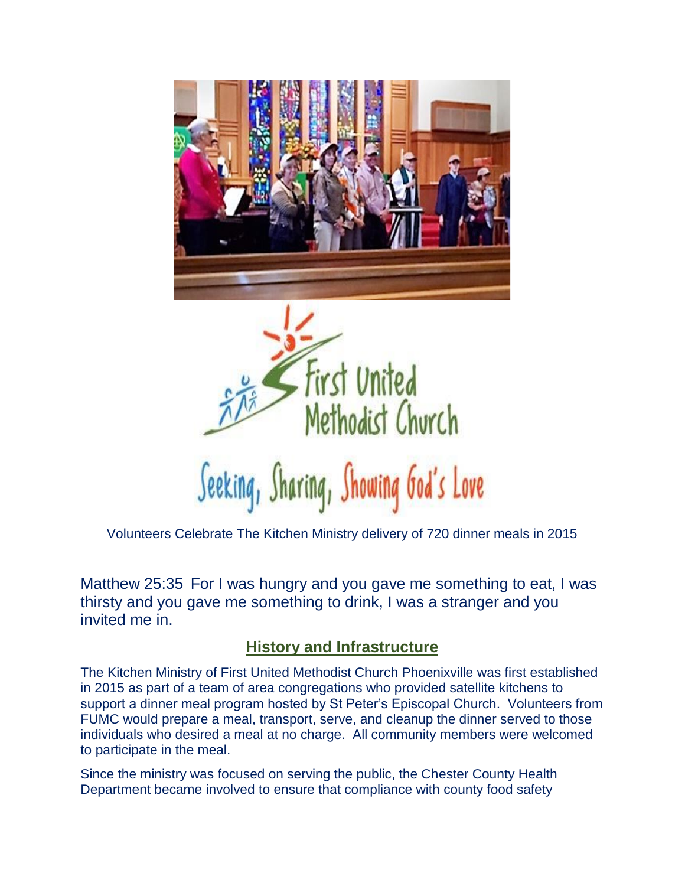



Volunteers Celebrate The Kitchen Ministry delivery of 720 dinner meals in 2015

Matthew 25:35 For I was hungry and you gave me something to eat, I was thirsty and you gave me something to drink, I was a stranger and you invited me in.

# **History and Infrastructure**

The Kitchen Ministry of First United Methodist Church Phoenixville was first established in 2015 as part of a team of area congregations who provided satellite kitchens to support a dinner meal program hosted by St Peter's Episcopal Church. Volunteers from FUMC would prepare a meal, transport, serve, and cleanup the dinner served to those individuals who desired a meal at no charge. All community members were welcomed to participate in the meal.

Since the ministry was focused on serving the public, the Chester County Health Department became involved to ensure that compliance with county food safety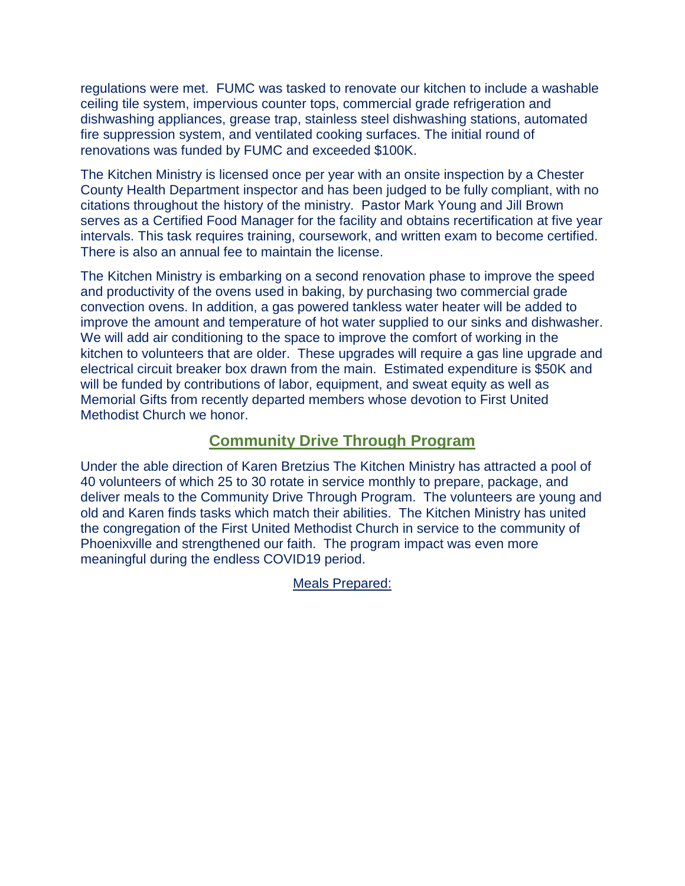regulations were met. FUMC was tasked to renovate our kitchen to include a washable ceiling tile system, impervious counter tops, commercial grade refrigeration and dishwashing appliances, grease trap, stainless steel dishwashing stations, automated fire suppression system, and ventilated cooking surfaces. The initial round of renovations was funded by FUMC and exceeded \$100K.

The Kitchen Ministry is licensed once per year with an onsite inspection by a Chester County Health Department inspector and has been judged to be fully compliant, with no citations throughout the history of the ministry. Pastor Mark Young and Jill Brown serves as a Certified Food Manager for the facility and obtains recertification at five year intervals. This task requires training, coursework, and written exam to become certified. There is also an annual fee to maintain the license.

The Kitchen Ministry is embarking on a second renovation phase to improve the speed and productivity of the ovens used in baking, by purchasing two commercial grade convection ovens. In addition, a gas powered tankless water heater will be added to improve the amount and temperature of hot water supplied to our sinks and dishwasher. We will add air conditioning to the space to improve the comfort of working in the kitchen to volunteers that are older. These upgrades will require a gas line upgrade and electrical circuit breaker box drawn from the main. Estimated expenditure is \$50K and will be funded by contributions of labor, equipment, and sweat equity as well as Memorial Gifts from recently departed members whose devotion to First United Methodist Church we honor.

### **Community Drive Through Program**

Under the able direction of Karen Bretzius The Kitchen Ministry has attracted a pool of 40 volunteers of which 25 to 30 rotate in service monthly to prepare, package, and deliver meals to the Community Drive Through Program. The volunteers are young and old and Karen finds tasks which match their abilities. The Kitchen Ministry has united the congregation of the First United Methodist Church in service to the community of Phoenixville and strengthened our faith. The program impact was even more meaningful during the endless COVID19 period.

Meals Prepared: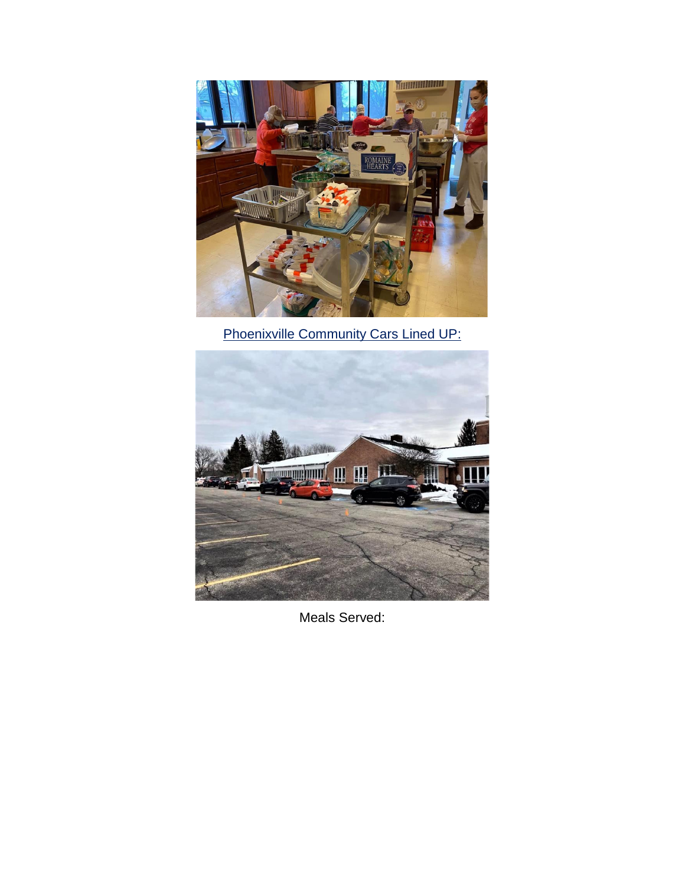

Phoenixville Community Cars Lined UP:



Meals Served: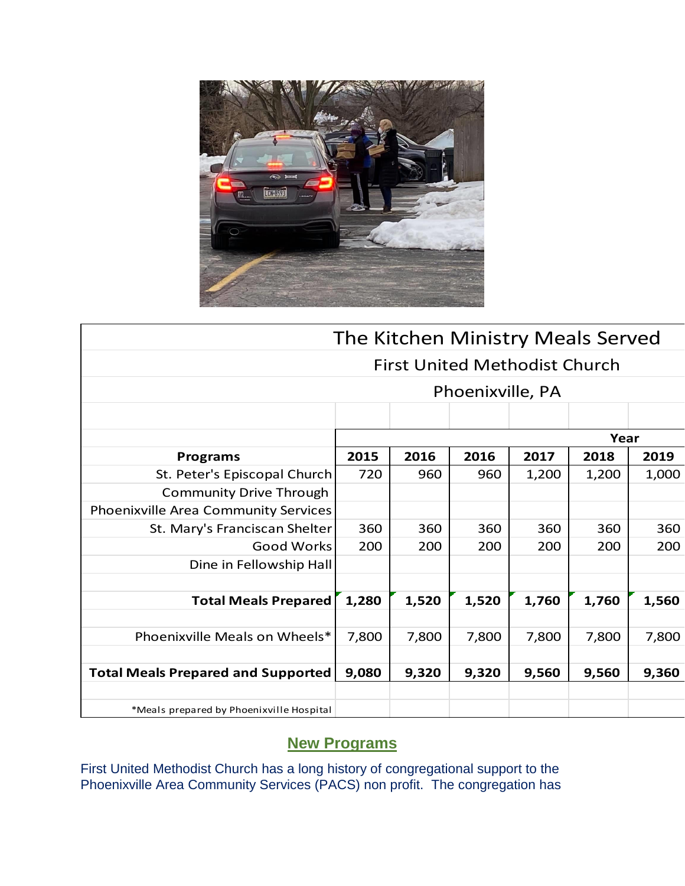

| The Kitchen Ministry Meals Served         |       |       |       |       |       |       |
|-------------------------------------------|-------|-------|-------|-------|-------|-------|
| <b>First United Methodist Church</b>      |       |       |       |       |       |       |
| Phoenixville, PA                          |       |       |       |       |       |       |
|                                           |       |       |       |       |       |       |
|                                           | Year  |       |       |       |       |       |
| <b>Programs</b>                           | 2015  | 2016  | 2016  | 2017  | 2018  | 2019  |
| St. Peter's Episcopal Church              | 720   | 960   | 960   | 1,200 | 1,200 | 1,000 |
| <b>Community Drive Through</b>            |       |       |       |       |       |       |
| Phoenixville Area Community Services      |       |       |       |       |       |       |
| St. Mary's Franciscan Shelter             | 360   | 360   | 360   | 360   | 360   | 360   |
| <b>Good Works</b>                         | 200   | 200   | 200   | 200   | 200   | 200   |
| Dine in Fellowship Hall                   |       |       |       |       |       |       |
|                                           |       |       |       |       |       |       |
| <b>Total Meals Prepared</b>               | 1,280 | 1,520 | 1,520 | 1,760 | 1,760 | 1,560 |
|                                           |       |       |       |       |       |       |
| Phoenixville Meals on Wheels*             | 7,800 | 7,800 | 7,800 | 7,800 | 7,800 | 7,800 |
|                                           |       |       |       |       |       |       |
| <b>Total Meals Prepared and Supported</b> | 9,080 | 9,320 | 9,320 | 9,560 | 9,560 | 9,360 |
|                                           |       |       |       |       |       |       |
| *Meals prepared by Phoenixville Hospital  |       |       |       |       |       |       |

# **New Programs**

First United Methodist Church has a long history of congregational support to the Phoenixville Area Community Services (PACS) non profit. The congregation has